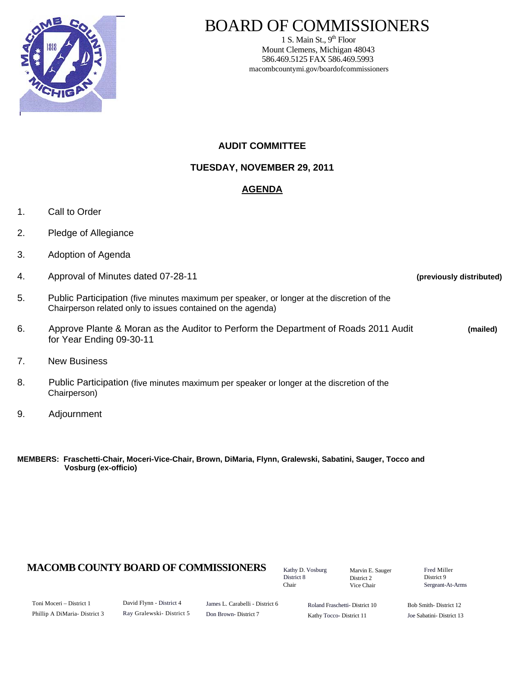

# BOARD OF COMMISSIONERS

1 S. Main St.,  $9<sup>th</sup>$  Floor Mount Clemens, Michigan 48043 586.469.5125 FAX 586.469.5993 macombcountymi.gov/boardofcommissioners

## **AUDIT COMMITTEE**

**TUESDAY, NOVEMBER 29, 2011** 

# **AGENDA**

- 1. Call to Order
- 2. Pledge of Allegiance
- 3. Adoption of Agenda
- 4. Approval of Minutes dated 07-28-11 **(previously distributed)**
- 5. Public Participation (five minutes maximum per speaker, or longer at the discretion of the Chairperson related only to issues contained on the agenda)
- 6. Approve Plante & Moran as the Auditor to Perform the Department of Roads 2011 Audit **(mailed)**  for Year Ending 09-30-11
- 7. New Business
- 8. Public Participation (five minutes maximum per speaker or longer at the discretion of the Chairperson)
- 9. Adjournment

**MEMBERS: Fraschetti-Chair, Moceri-Vice-Chair, Brown, DiMaria, Flynn, Gralewski, Sabatini, Sauger, Tocco and Vosburg (ex-officio)** 

## **MACOMB COUNTY BOARD OF COMMISSIONERS** Factor D. Vosburg Marvin F. Sauger Fred Miller

Kathy D. Vosburg District 8 Chair

Marvin E. Sauger District 2 Vice Chair

District 9 Sergeant-At-Arms

Toni Moceri – District 1 Phillip A DiMaria- District 3 David Flynn - District 4 Ray Gralewski- District 5 James L. Carabelli - District 6 Don Brown- District 7

Roland Fraschetti- District 10 Kathy Tocco- District 11

Bob Smith- District 12 Joe Sabatini- District 13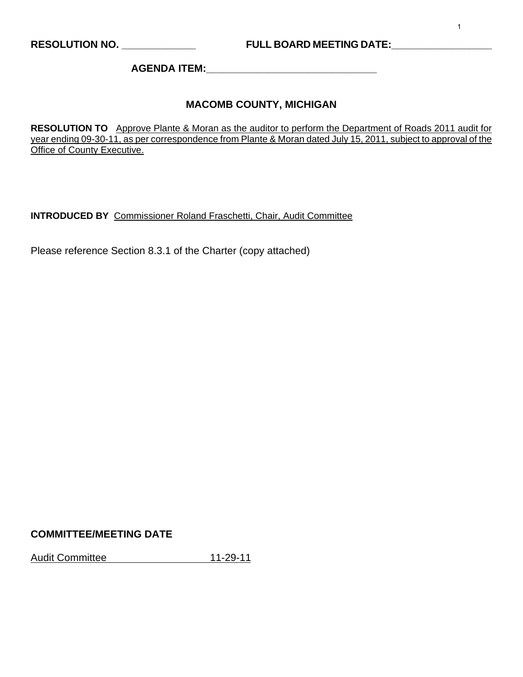**AGENDA ITEM:\_\_\_\_\_\_\_\_\_\_\_\_\_\_\_\_\_\_\_\_\_\_\_\_\_\_\_\_\_\_** 

## **MACOMB COUNTY, MICHIGAN**

**RESOLUTION TO** Approve Plante & Moran as the auditor to perform the Department of Roads 2011 audit for year ending 09-30-11, as per correspondence from Plante & Moran dated July 15, 2011, subject to approval of the **Office of County Executive.** 

**INTRODUCED BY** Commissioner Roland Fraschetti, Chair, Audit Committee

Please reference Section 8.3.1 of the Charter (copy attached)

## **COMMITTEE/MEETING DATE**

Audit Committee 11-29-11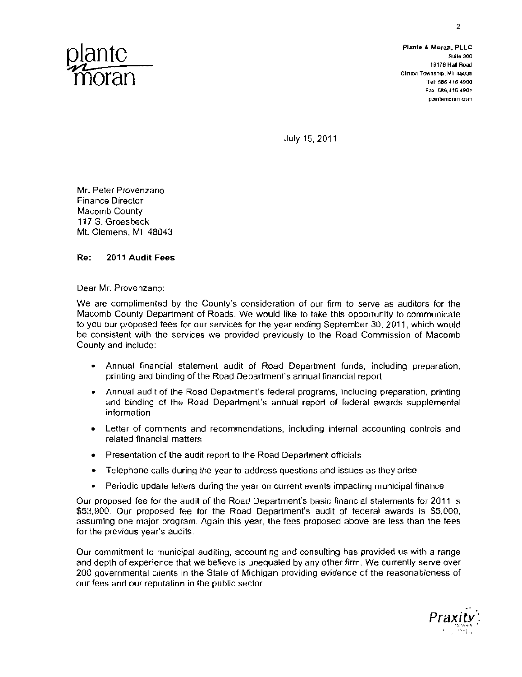

19178 Hall Road Fax 586,416 4901 planlemoran com

July 15, 2011

Mr. Peter Provenzano Finance Director Macomb County 117 S. Groesbeck Mt. Clemens, Ml 48043

#### Re: **2011 Audit** Fees

Dear Mr. Provenzano:

We are complimented by the County's consideration of our firm to serve as auditors for the Macomb County Department of Roads. We would like to take this opportunity to communicate to you our proposed fees for our services for the year ending September 30. 2011, which would be consistent wilh the services we provided previously to the Road Commission of Macomb County and include:

- • Annual financial statement audit of Road Department funds, including preparation, printing and binding of the Road Department's annual financial report
- Annual audit of the Road Department's federal programs, including preparation, printing and binding of the Road Department's annual report of federal awards supplemental information
- Letter of comments and recommendations, including internal accounting controls and related financial matters
- Presentation of the audit report to the Road Department officials
- • Telephone calls during the year to address questions and issues as they arise
- Periodic update letters during the year on current events impacting municipal finance

Our proposed fee for the audit of the Road Department's basic financial statements for 2011 is \$53,900. Our proposed fee for the Road Department's audit of federal awards is \$5,000, assuming one major program. Again this year, the fees proposed above are less than the fees for the previous year's audits.

Our commitment 10 municipal auditing, accounting and consulting has provided us with a range and depth of experience that we believe is unequaled by any other firm. We currently serve over 200 governmental clients in the Stale of Michigan providing evidence of the reasonableness of our fees and our reputation in the public sector.

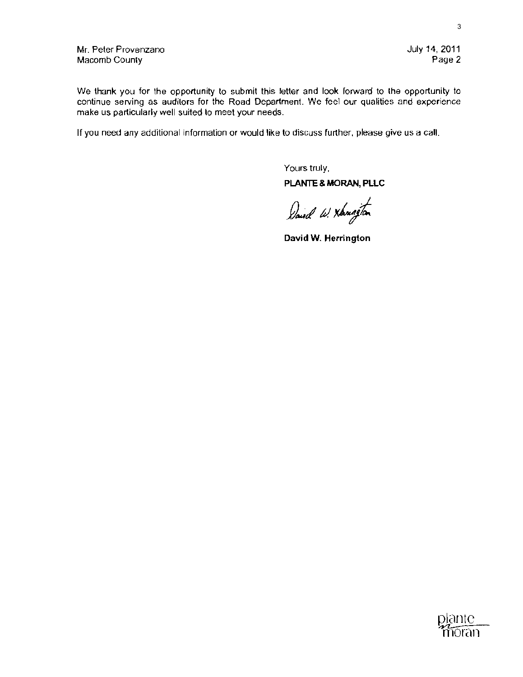We thank you for the opportunity to submit this letter and look forward to the opportunity to continue serving as audilors for the Road Department. We feel our qualities and experience make us particularly well suited to meet your needs.

If you need any additional information or would like to discuss further, please give us a call.

Yours truly, PLANTE & MORAN, PLLC

David W. Xbungton

**David W. Herrington**